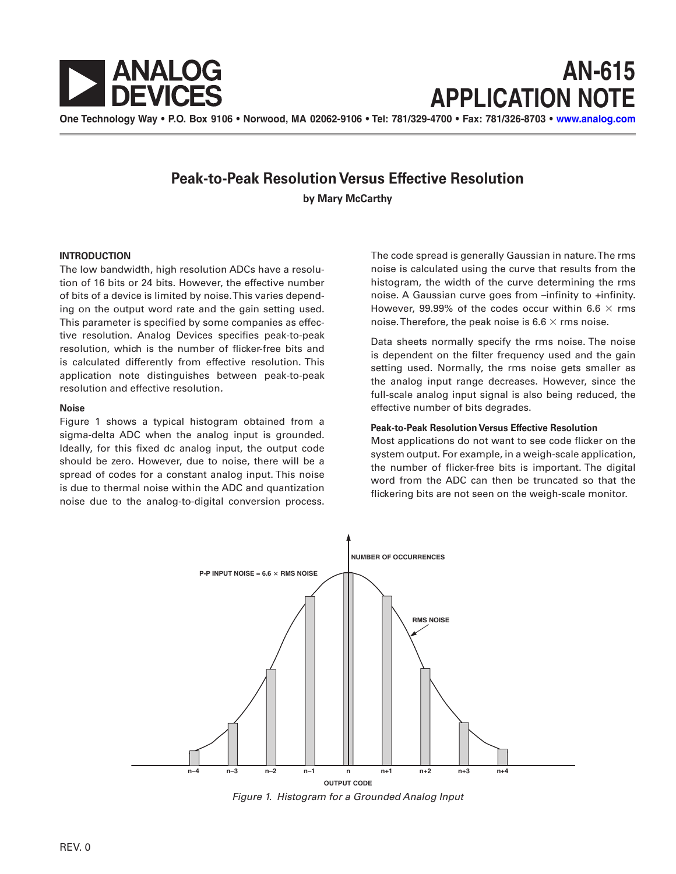

# **AN-615 APPLICATION NOTE**

One Technology Way • P.O. Box 9106 • Norwood, MA 02062-9106 • Tel: 781/329-4700 • Fax: 781/326-8703 • [www.analog.com](http://www.analog.com)

## **Peak-to-Peak Resolution Versus Effective Resolution**

**by Mary McCarthy**

#### **INTRODUCTION**

 ing on the output word rate and the gain setting used. The low bandwidth, high resolution ADCs have a resolution of 16 bits or 24 bits. However, the effective number of bits of a device is limited by noise.This varies depend-This parameter is specified by some companies as effective resolution. Analog Devices specifies peak-to-peak resolution, which is the number of flicker-free bits and is calculated differently from effective resolution. This application note distinguishes between peak-to-peak resolution and effective resolution**.**

#### **Noise**

Figure 1 shows a typical histogram obtained from a sigma-delta ADC when the analog input is grounded. Ideally, for this fixed dc analog input, the output code should be zero. However, due to noise, there will be a spread of codes for a constant analog input. This noise is due to thermal noise within the ADC and quantization noise due to the analog-to-digital conversion process.

The code spread is generally Gaussian in nature.The rms noise is calculated using the curve that results from the histogram, the width of the curve determining the rms noise. A Gaussian curve goes from –infinity to +infinity. However, 99.99% of the codes occur within 6.6  $\times$  rms noise. Therefore, the peak noise is 6.6  $\times$  rms noise.

Data sheets normally specify the rms noise. The noise is dependent on the filter frequency used and the gain setting used. Normally, the rms noise gets smaller as the analog input range decreases. However, since the full-scale analog input signal is also being reduced, the effective number of bits degrades.

#### **Peak-to-Peak Resolution Versus Effective Resolution**

Most applications do not want to see code flicker on the system output. For example, in a weigh-scale application, the number of flicker-free bits is important. The digital word from the ADC can then be truncated so that the flickering bits are not seen on the weigh-scale monitor.



Figure 1. Histogram for a Grounded Analog Input